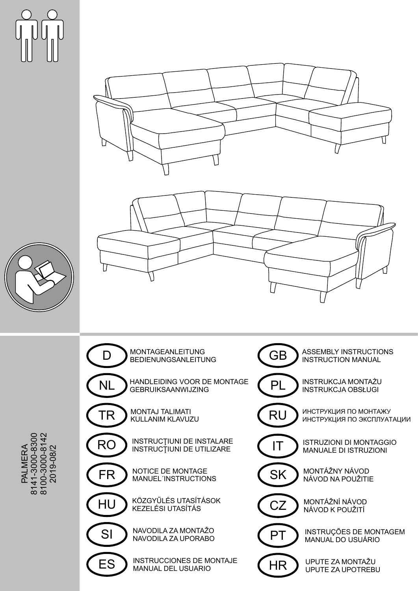







PALM<br>LA<br>LA Y  $\sqcup$  $\widetilde{\mathbf{z}}$  : 8141-3 0 ، پ 0-8 3 o . 0 810 0-3 0  $\circ$  . 0-814 2 2019-0 8/2

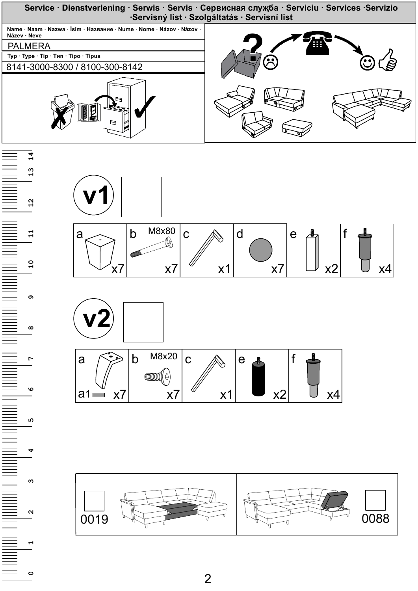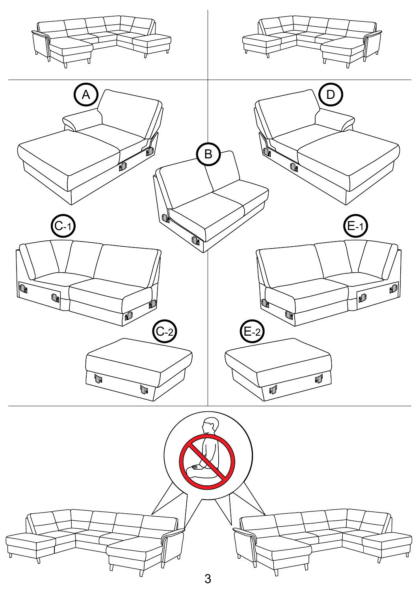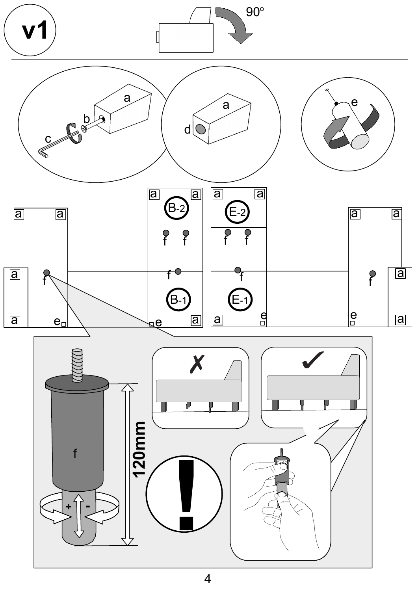

 $\overline{\mathcal{A}}$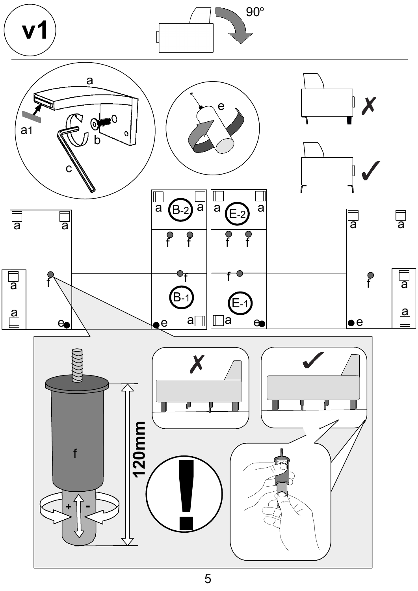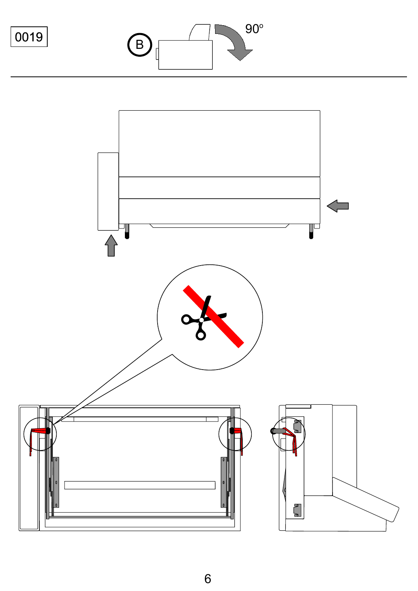0019



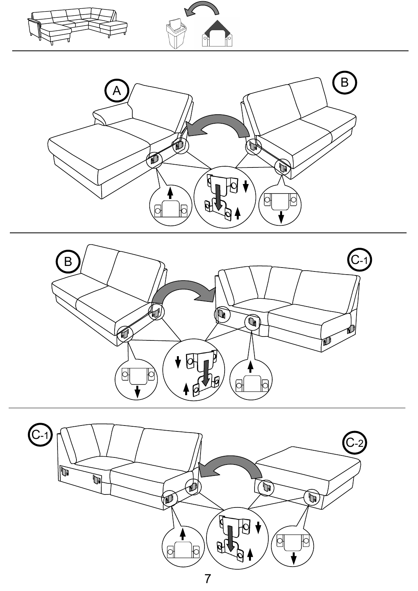



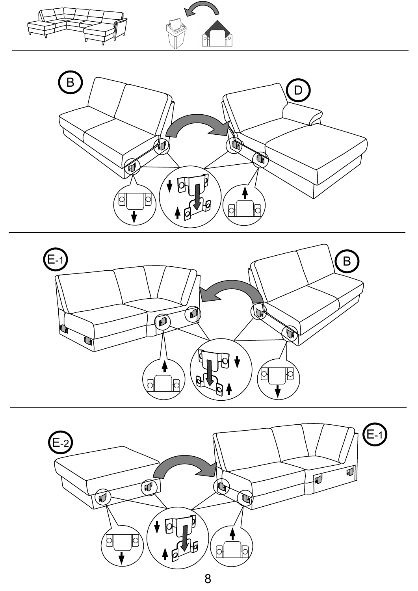



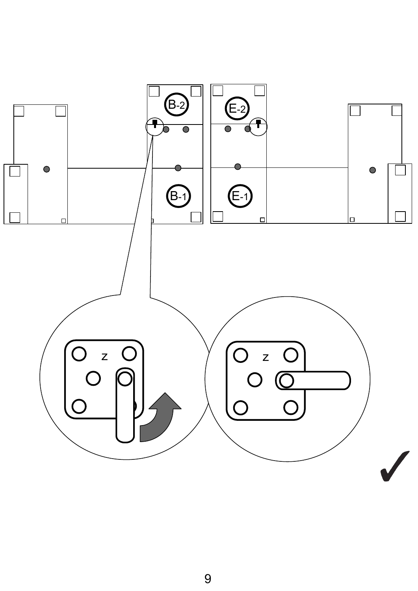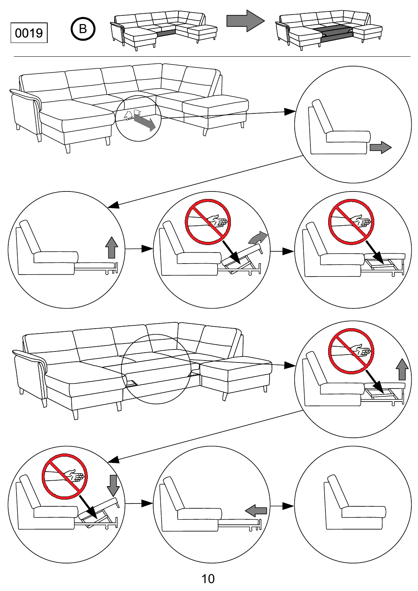